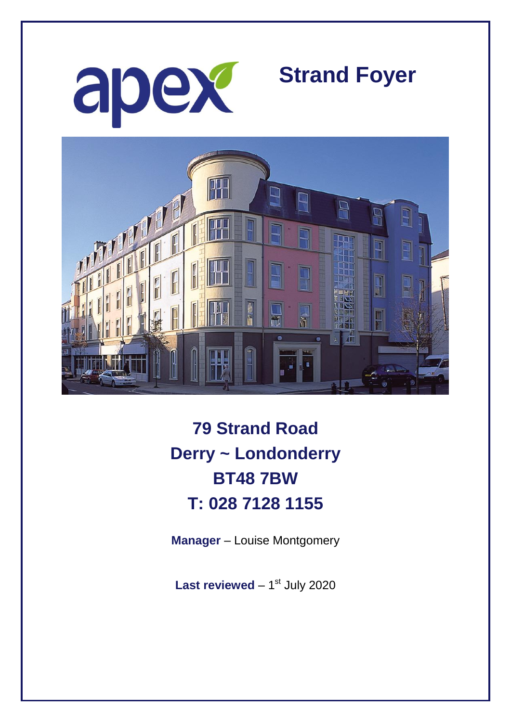

# **Strand Foyer**



**79 Strand Road Derry ~ Londonderry BT48 7BW T: 028 7128 1155**

**Manager** – Louise Montgomery

Last reviewed - 1<sup>st</sup> July 2020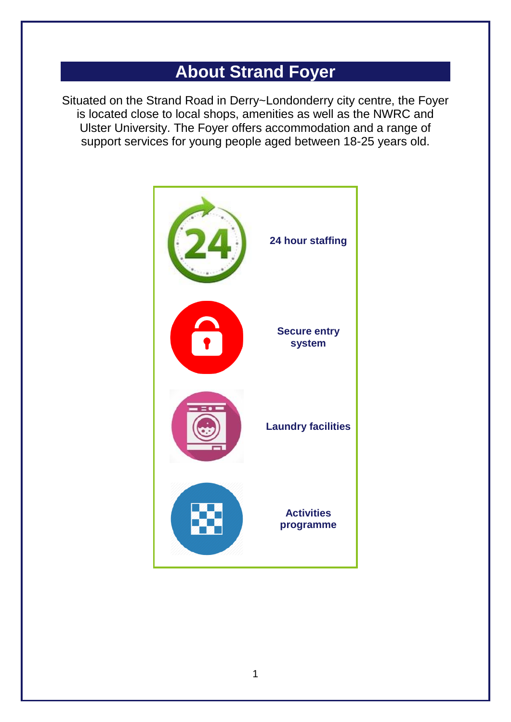# **About Strand Foyer**

Situated on the Strand Road in Derry~Londonderry city centre, the Foyer is located close to local shops, amenities as well as the NWRC and Ulster University. The Foyer offers accommodation and a range of support services for young people aged between 18-25 years old.

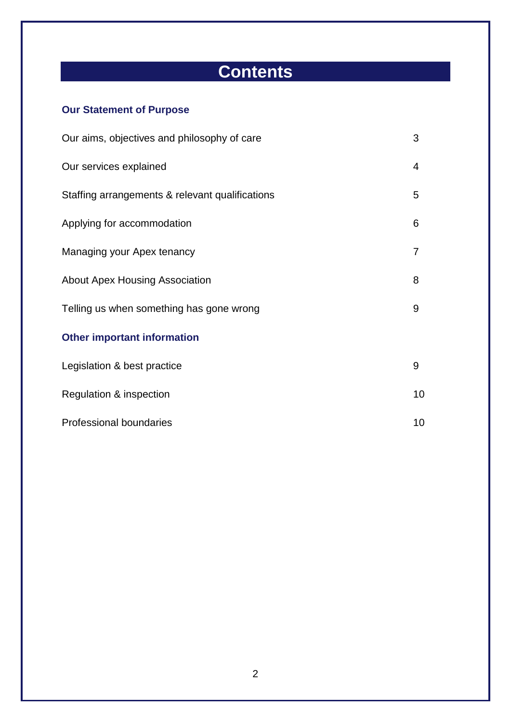# **Contents**

### **Our Statement of Purpose**

| Our aims, objectives and philosophy of care     |    |
|-------------------------------------------------|----|
| Our services explained                          | 4  |
| Staffing arrangements & relevant qualifications | 5  |
| Applying for accommodation                      | 6  |
| Managing your Apex tenancy                      | 7  |
| <b>About Apex Housing Association</b>           | 8  |
| Telling us when something has gone wrong        | 9  |
| <b>Other important information</b>              |    |
| Legislation & best practice                     | 9  |
| Regulation & inspection                         | 10 |
| <b>Professional boundaries</b>                  | 10 |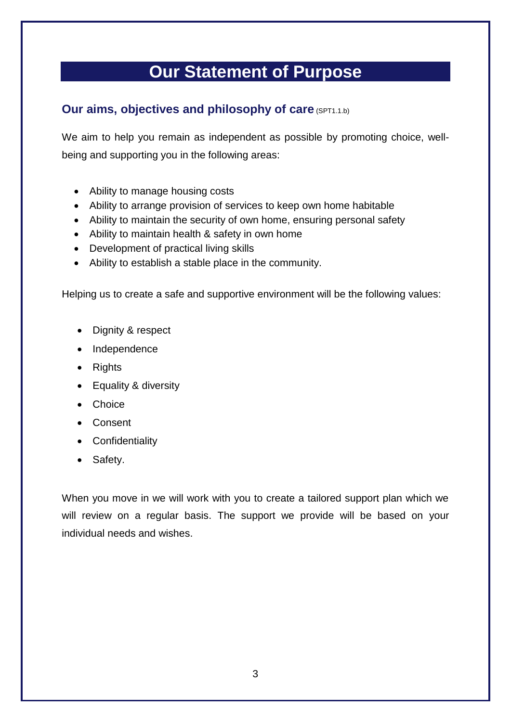# **Our Statement of Purpose**

#### **Our aims, objectives and philosophy of care (SPT1.1.b)**

We aim to help you remain as independent as possible by promoting choice, wellbeing and supporting you in the following areas:

- Ability to manage housing costs
- Ability to arrange provision of services to keep own home habitable
- Ability to maintain the security of own home, ensuring personal safety
- Ability to maintain health & safety in own home
- Development of practical living skills
- Ability to establish a stable place in the community.

Helping us to create a safe and supportive environment will be the following values:

- Dignity & respect
- Independence
- Rights
- Equality & diversity
- Choice
- Consent
- Confidentiality
- Safety.

When you move in we will work with you to create a tailored support plan which we will review on a regular basis. The support we provide will be based on your individual needs and wishes.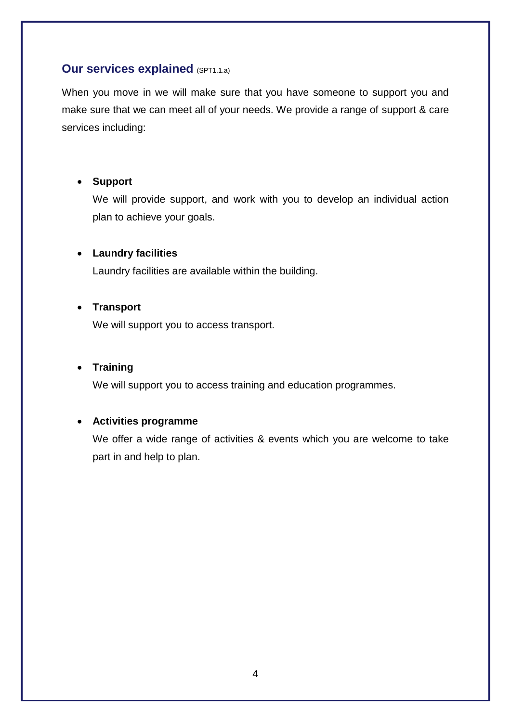#### **Our services explained** (SPT1.1.a)

When you move in we will make sure that you have someone to support you and make sure that we can meet all of your needs. We provide a range of support & care services including:

#### **Support**

We will provide support, and work with you to develop an individual action plan to achieve your goals.

#### **Laundry facilities**

Laundry facilities are available within the building.

#### **Transport**

We will support you to access transport.

#### **Training**

We will support you to access training and education programmes.

#### **Activities programme**

We offer a wide range of activities & events which you are welcome to take part in and help to plan.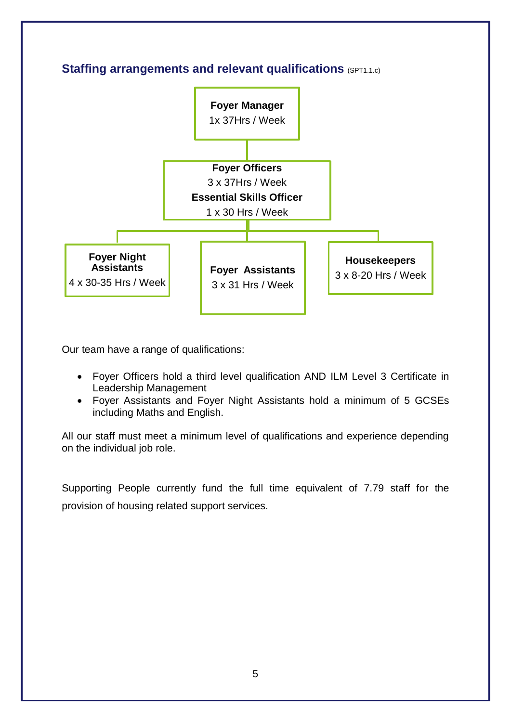

Our team have a range of qualifications:

- Foyer Officers hold a third level qualification AND ILM Level 3 Certificate in Leadership Management
- Foyer Assistants and Foyer Night Assistants hold a minimum of 5 GCSEs including Maths and English.

All our staff must meet a minimum level of qualifications and experience depending on the individual job role.

Supporting People currently fund the full time equivalent of 7.79 staff for the provision of housing related support services.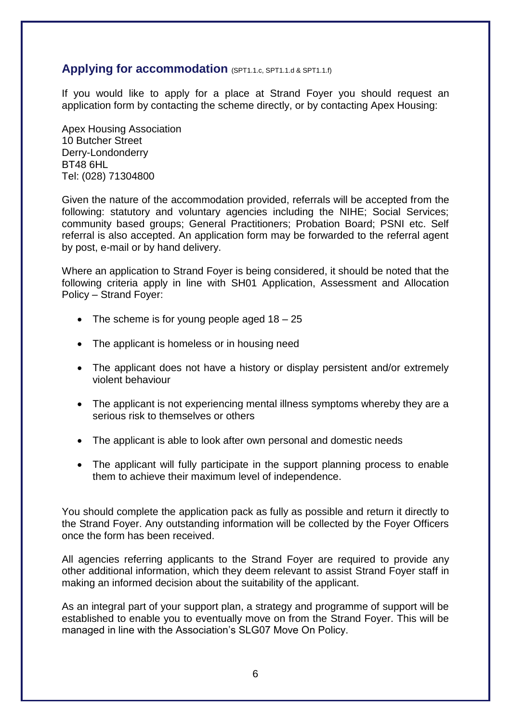#### **Applying for accommodation** (SPT1.1.c, SPT1.1.d & SPT1.1.f)

If you would like to apply for a place at Strand Foyer you should request an application form by contacting the scheme directly, or by contacting Apex Housing:

Apex Housing Association 10 Butcher Street Derry-Londonderry BT48 6HL Tel: (028) 71304800

Given the nature of the accommodation provided, referrals will be accepted from the following: statutory and voluntary agencies including the NIHE; Social Services; community based groups; General Practitioners; Probation Board; PSNI etc. Self referral is also accepted. An application form may be forwarded to the referral agent by post, e-mail or by hand delivery.

Where an application to Strand Foyer is being considered, it should be noted that the following criteria apply in line with SH01 Application, Assessment and Allocation Policy – Strand Foyer:

- The scheme is for young people aged  $18 25$
- The applicant is homeless or in housing need
- The applicant does not have a history or display persistent and/or extremely violent behaviour
- The applicant is not experiencing mental illness symptoms whereby they are a serious risk to themselves or others
- The applicant is able to look after own personal and domestic needs
- The applicant will fully participate in the support planning process to enable them to achieve their maximum level of independence.

You should complete the application pack as fully as possible and return it directly to the Strand Foyer. Any outstanding information will be collected by the Foyer Officers once the form has been received.

All agencies referring applicants to the Strand Foyer are required to provide any other additional information, which they deem relevant to assist Strand Foyer staff in making an informed decision about the suitability of the applicant.

As an integral part of your support plan, a strategy and programme of support will be established to enable you to eventually move on from the Strand Foyer. This will be managed in line with the Association's SLG07 Move On Policy.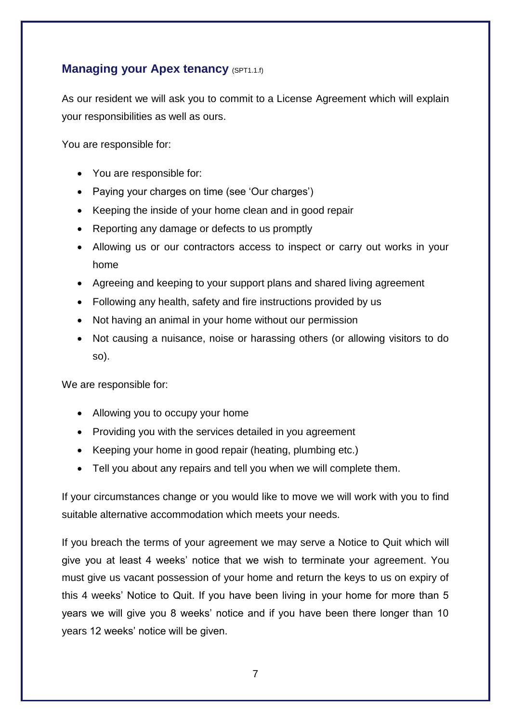#### **Managing your Apex tenancy (SPT1.1.f)**

As our resident we will ask you to commit to a License Agreement which will explain your responsibilities as well as ours.

You are responsible for:

- You are responsible for:
- Paying your charges on time (see 'Our charges')
- Keeping the inside of your home clean and in good repair
- Reporting any damage or defects to us promptly
- Allowing us or our contractors access to inspect or carry out works in your home
- Agreeing and keeping to your support plans and shared living agreement
- Following any health, safety and fire instructions provided by us
- Not having an animal in your home without our permission
- Not causing a nuisance, noise or harassing others (or allowing visitors to do so).

We are responsible for:

- Allowing you to occupy your home
- Providing you with the services detailed in you agreement
- Keeping your home in good repair (heating, plumbing etc.)
- Tell you about any repairs and tell you when we will complete them.

If your circumstances change or you would like to move we will work with you to find suitable alternative accommodation which meets your needs.

If you breach the terms of your agreement we may serve a Notice to Quit which will give you at least 4 weeks' notice that we wish to terminate your agreement. You must give us vacant possession of your home and return the keys to us on expiry of this 4 weeks' Notice to Quit. If you have been living in your home for more than 5 years we will give you 8 weeks' notice and if you have been there longer than 10 years 12 weeks' notice will be given.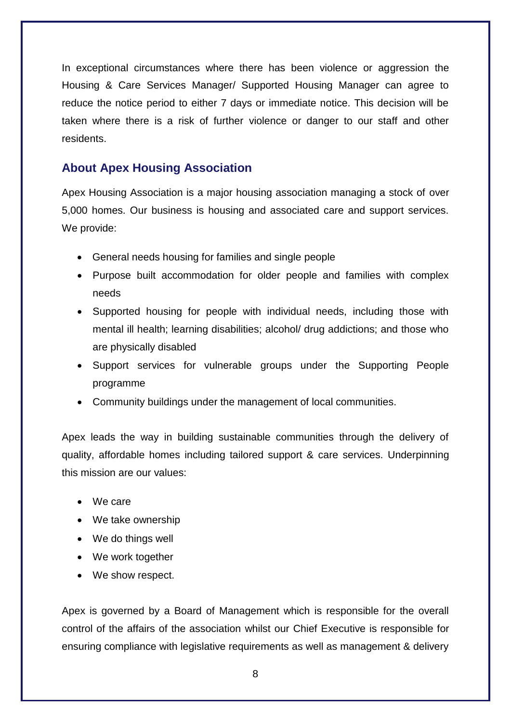In exceptional circumstances where there has been violence or aggression the Housing & Care Services Manager/ Supported Housing Manager can agree to reduce the notice period to either 7 days or immediate notice. This decision will be taken where there is a risk of further violence or danger to our staff and other residents.

#### **About Apex Housing Association**

Apex Housing Association is a major housing association managing a stock of over 5,000 homes. Our business is housing and associated care and support services. We provide:

- General needs housing for families and single people
- Purpose built accommodation for older people and families with complex needs
- Supported housing for people with individual needs, including those with mental ill health; learning disabilities; alcohol/ drug addictions; and those who are physically disabled
- Support services for vulnerable groups under the Supporting People programme
- Community buildings under the management of local communities.

Apex leads the way in building sustainable communities through the delivery of quality, affordable homes including tailored support & care services. Underpinning this mission are our values:

- We care
- We take ownership
- We do things well
- We work together
- We show respect.

Apex is governed by a Board of Management which is responsible for the overall control of the affairs of the association whilst our Chief Executive is responsible for ensuring compliance with legislative requirements as well as management & delivery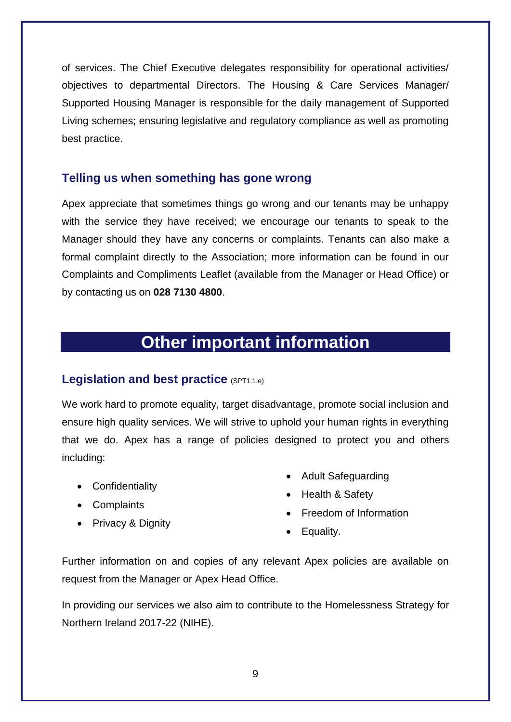of services. The Chief Executive delegates responsibility for operational activities/ objectives to departmental Directors. The Housing & Care Services Manager/ Supported Housing Manager is responsible for the daily management of Supported Living schemes; ensuring legislative and regulatory compliance as well as promoting best practice.

#### **Telling us when something has gone wrong**

Apex appreciate that sometimes things go wrong and our tenants may be unhappy with the service they have received; we encourage our tenants to speak to the Manager should they have any concerns or complaints. Tenants can also make a formal complaint directly to the Association; more information can be found in our Complaints and Compliments Leaflet (available from the Manager or Head Office) or by contacting us on **028 7130 4800**.

## **Other important information**

#### **Legislation and best practice** (SPT1.1.e)

We work hard to promote equality, target disadvantage, promote social inclusion and ensure high quality services. We will strive to uphold your human rights in everything that we do. Apex has a range of policies designed to protect you and others including:

- Confidentiality
- Complaints
- Privacy & Dignity
- Adult Safeguarding
- Health & Safety
- Freedom of Information
- Equality.

Further information on and copies of any relevant Apex policies are available on request from the Manager or Apex Head Office.

In providing our services we also aim to contribute to the Homelessness Strategy for Northern Ireland 2017-22 (NIHE).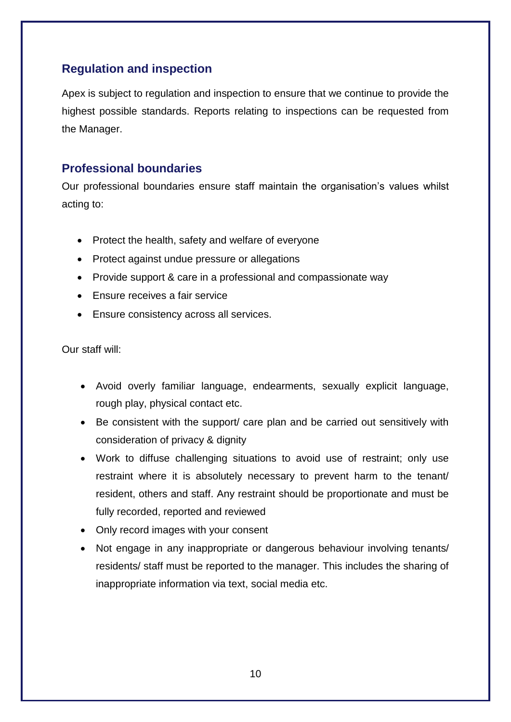#### **Regulation and inspection**

Apex is subject to regulation and inspection to ensure that we continue to provide the highest possible standards. Reports relating to inspections can be requested from the Manager.

#### **Professional boundaries**

Our professional boundaries ensure staff maintain the organisation's values whilst acting to:

- Protect the health, safety and welfare of everyone
- Protect against undue pressure or allegations
- Provide support & care in a professional and compassionate way
- Ensure receives a fair service
- Ensure consistency across all services.

Our staff will:

- Avoid overly familiar language, endearments, sexually explicit language, rough play, physical contact etc.
- Be consistent with the support/ care plan and be carried out sensitively with consideration of privacy & dignity
- Work to diffuse challenging situations to avoid use of restraint; only use restraint where it is absolutely necessary to prevent harm to the tenant/ resident, others and staff. Any restraint should be proportionate and must be fully recorded, reported and reviewed
- Only record images with your consent
- Not engage in any inappropriate or dangerous behaviour involving tenants/ residents/ staff must be reported to the manager. This includes the sharing of inappropriate information via text, social media etc.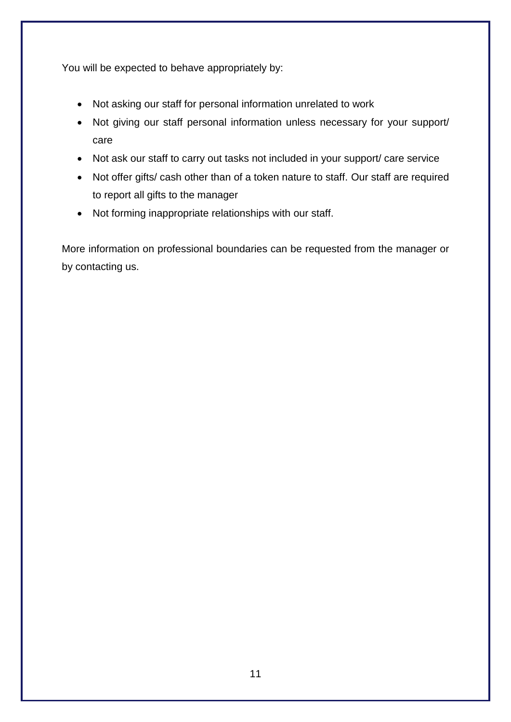You will be expected to behave appropriately by:

- Not asking our staff for personal information unrelated to work
- Not giving our staff personal information unless necessary for your support/ care
- Not ask our staff to carry out tasks not included in your support/ care service
- Not offer gifts/ cash other than of a token nature to staff. Our staff are required to report all gifts to the manager
- Not forming inappropriate relationships with our staff.

More information on professional boundaries can be requested from the manager or by contacting us.